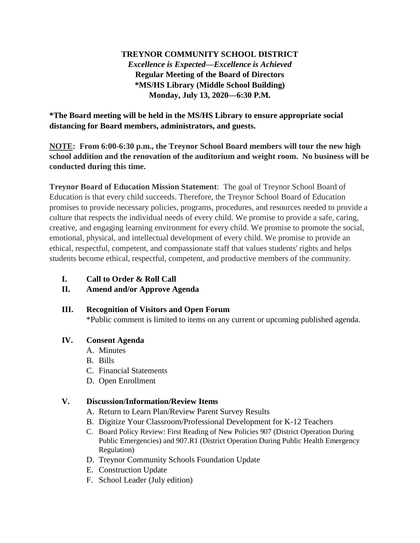## **TREYNOR COMMUNITY SCHOOL DISTRICT** *Excellence is Expected—Excellence is Achieved* **Regular Meeting of the Board of Directors \*MS/HS Library (Middle School Building) Monday, July 13, 2020—6:30 P.M.**

**\*The Board meeting will be held in the MS/HS Library to ensure appropriate social distancing for Board members, administrators, and guests.**

**NOTE: From 6:00-6:30 p.m., the Treynor School Board members will tour the new high school addition and the renovation of the auditorium and weight room. No business will be conducted during this time.** 

**Treynor Board of Education Mission Statement**: The goal of Treynor School Board of Education is that every child succeeds. Therefore, the Treynor School Board of Education promises to provide necessary policies, programs, procedures, and resources needed to provide a culture that respects the individual needs of every child. We promise to provide a safe, caring, creative, and engaging learning environment for every child. We promise to promote the social, emotional, physical, and intellectual development of every child. We promise to provide an ethical, respectful, competent, and compassionate staff that values students' rights and helps students become ethical, respectful, competent, and productive members of the community.

- **I. Call to Order & Roll Call**
- **II. Amend and/or Approve Agenda**

#### **III. Recognition of Visitors and Open Forum**

\*Public comment is limited to items on any current or upcoming published agenda.

### **IV. Consent Agenda**

- A. Minutes
- B. Bills
- C. Financial Statements
- D. Open Enrollment

### **V. Discussion/Information/Review Items**

- A. Return to Learn Plan/Review Parent Survey Results
- B. Digitize Your Classroom/Professional Development for K-12 Teachers
- C. Board Policy Review: First Reading of New Policies 907 (District Operation During Public Emergencies) and 907.R1 (District Operation During Public Health Emergency Regulation)
- D. Treynor Community Schools Foundation Update
- E. Construction Update
- F. School Leader (July edition)